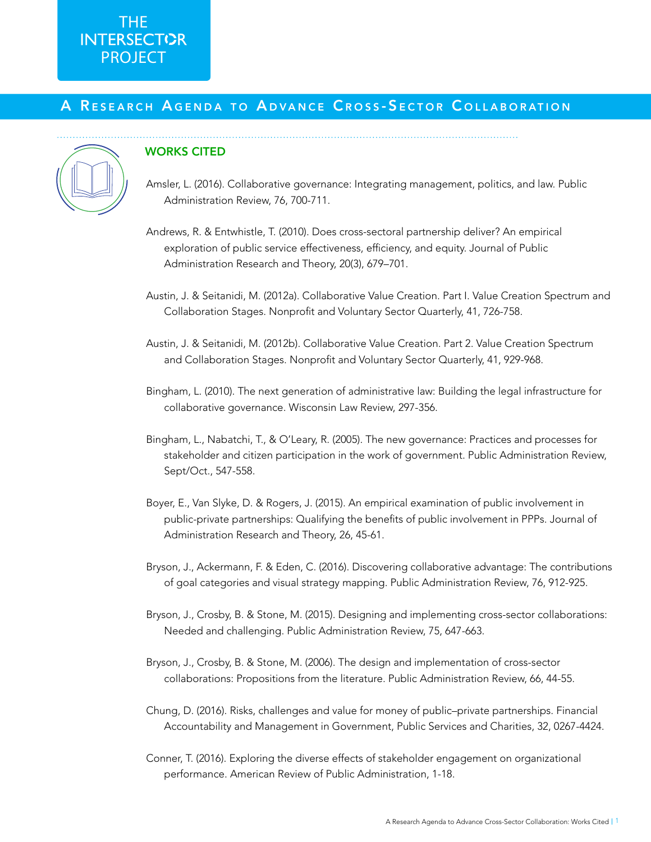# THE **PROJECT**

### A RESEARCH AGENDA TO ADVANCE CROSS-SECTOR COLLABORATION



#### WORKS CITED

- Amsler, L. (2016). Collaborative governance: Integrating management, politics, and law. Public Administration Review, 76, 700-711.
- Andrews, R. & Entwhistle, T. (2010). Does cross-sectoral partnership deliver? An empirical exploration of public service effectiveness, efficiency, and equity. Journal of Public Administration Research and Theory, 20(3), 679–701.
- Austin, J. & Seitanidi, M. (2012a). Collaborative Value Creation. Part I. Value Creation Spectrum and Collaboration Stages. Nonprofit and Voluntary Sector Quarterly, 41, 726-758.
- Austin, J. & Seitanidi, M. (2012b). Collaborative Value Creation. Part 2. Value Creation Spectrum and Collaboration Stages. Nonprofit and Voluntary Sector Quarterly, 41, 929-968.
- Bingham, L. (2010). The next generation of administrative law: Building the legal infrastructure for collaborative governance. Wisconsin Law Review, 297-356.
- Bingham, L., Nabatchi, T., & O'Leary, R. (2005). The new governance: Practices and processes for stakeholder and citizen participation in the work of government. Public Administration Review, Sept/Oct., 547-558.
- Boyer, E., Van Slyke, D. & Rogers, J. (2015). An empirical examination of public involvement in public-private partnerships: Qualifying the benefits of public involvement in PPPs. Journal of Administration Research and Theory, 26, 45-61.
- Bryson, J., Ackermann, F. & Eden, C. (2016). Discovering collaborative advantage: The contributions of goal categories and visual strategy mapping. Public Administration Review, 76, 912-925.
- Bryson, J., Crosby, B. & Stone, M. (2015). Designing and implementing cross-sector collaborations: Needed and challenging. Public Administration Review, 75, 647-663.
- Bryson, J., Crosby, B. & Stone, M. (2006). The design and implementation of cross-sector collaborations: Propositions from the literature. Public Administration Review, 66, 44-55.
- Chung, D. (2016). Risks, challenges and value for money of public–private partnerships. Financial Accountability and Management in Government, Public Services and Charities, 32, 0267-4424.
- Conner, T. (2016). Exploring the diverse effects of stakeholder engagement on organizational performance. American Review of Public Administration, 1-18.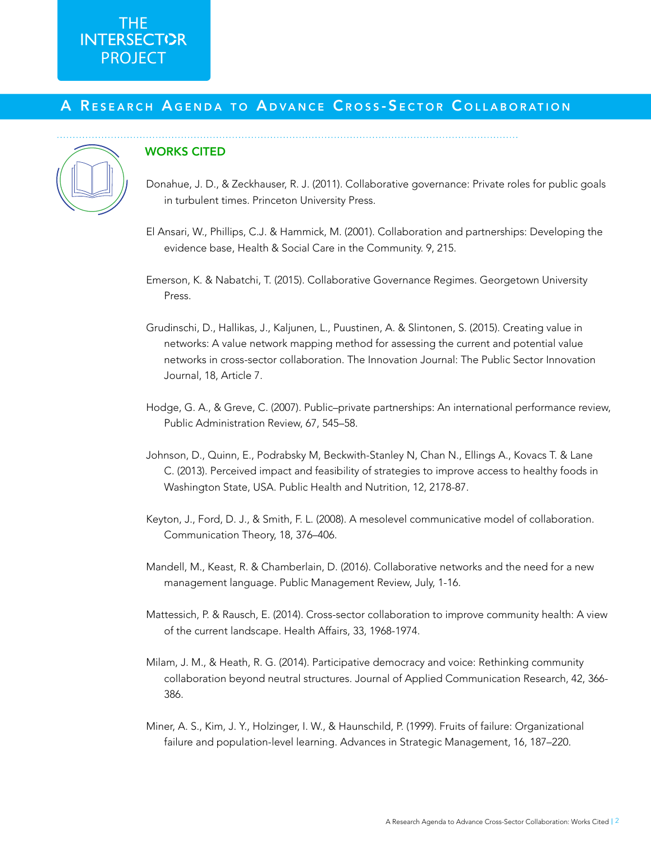## THE PROJECT

### A RESEARCH AGENDA TO ADVANCE CROSS-SECTOR COLLABORATION



#### WORKS CITED

- Donahue, J. D., & Zeckhauser, R. J. (2011). Collaborative governance: Private roles for public goals in turbulent times. Princeton University Press.
- El Ansari, W., Phillips, C.J. & Hammick, M. (2001). Collaboration and partnerships: Developing the evidence base, Health & Social Care in the Community. 9, 215.
- Emerson, K. & Nabatchi, T. (2015). Collaborative Governance Regimes. Georgetown University Press.
- Grudinschi, D., Hallikas, J., Kaljunen, L., Puustinen, A. & Slintonen, S. (2015). Creating value in networks: A value network mapping method for assessing the current and potential value networks in cross-sector collaboration. The Innovation Journal: The Public Sector Innovation Journal, 18, Article 7.
- Hodge, G. A., & Greve, C. (2007). Public–private partnerships: An international performance review, Public Administration Review, 67, 545–58.
- Johnson, D., Quinn, E., Podrabsky M, Beckwith-Stanley N, Chan N., Ellings A., Kovacs T. & Lane C. (2013). Perceived impact and feasibility of strategies to improve access to healthy foods in Washington State, USA. Public Health and Nutrition, 12, 2178-87.
- Keyton, J., Ford, D. J., & Smith, F. L. (2008). A mesolevel communicative model of collaboration. Communication Theory, 18, 376–406.
- Mandell, M., Keast, R. & Chamberlain, D. (2016). Collaborative networks and the need for a new management language. Public Management Review, July, 1-16.
- Mattessich, P. & Rausch, E. (2014). Cross-sector collaboration to improve community health: A view of the current landscape. Health Affairs, 33, 1968-1974.
- Milam, J. M., & Heath, R. G. (2014). Participative democracy and voice: Rethinking community collaboration beyond neutral structures. Journal of Applied Communication Research, 42, 366- 386.
- Miner, A. S., Kim, J. Y., Holzinger, I. W., & Haunschild, P. (1999). Fruits of failure: Organizational failure and population-level learning. Advances in Strategic Management, 16, 187–220.